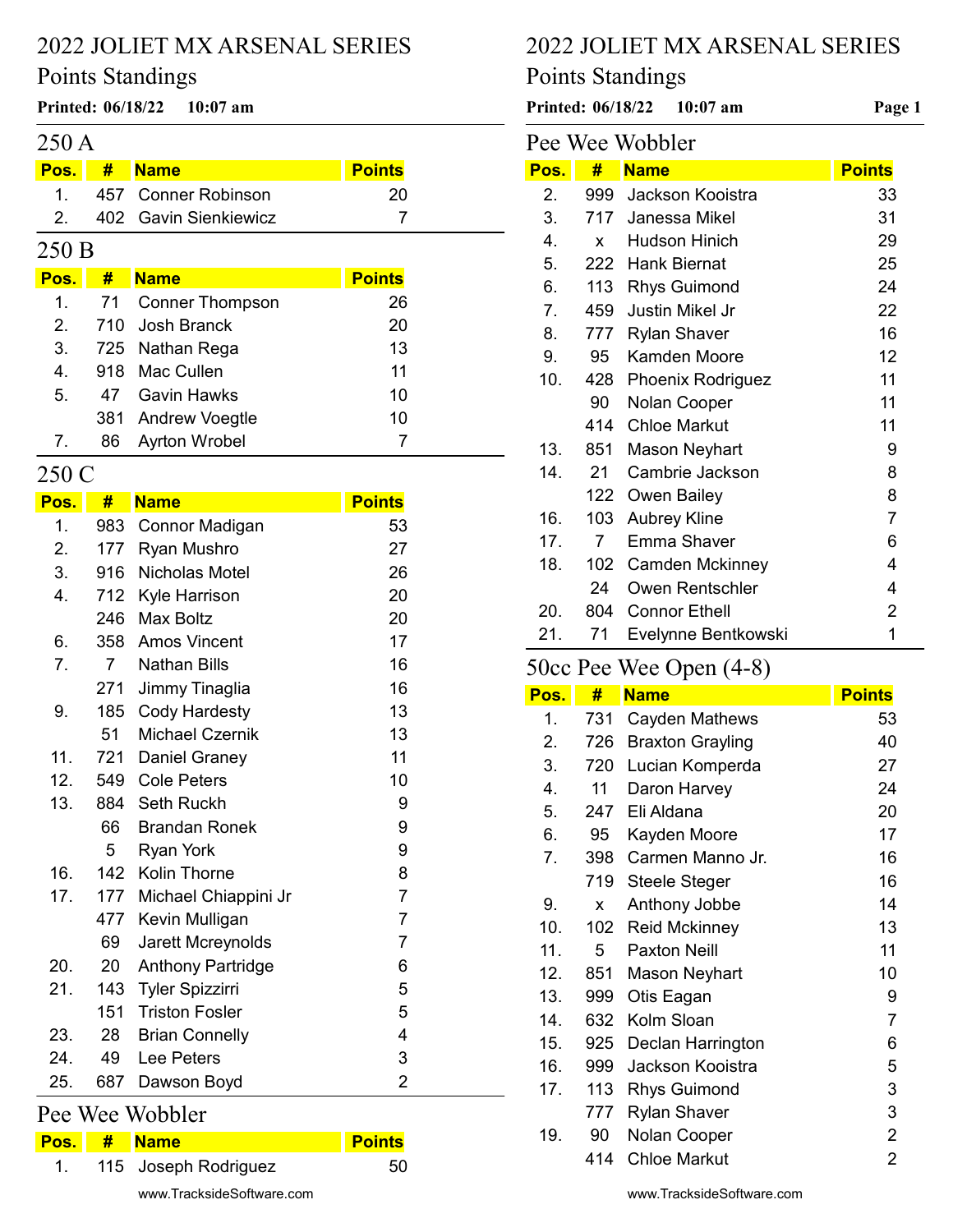#### Points Standings

## 250 A

#### Pos. # Name Points 1. 457 20 Conner Robinson 2. 402 Gavin Sienkiewicz 7

#### 250 B

| Pos.          | #  | <b>Name</b>           | <b>Points</b> |
|---------------|----|-----------------------|---------------|
|               |    | 1. 71 Conner Thompson | 26            |
| $\mathcal{P}$ |    | 710 Josh Branck       | 20            |
| 3.            |    | 725 Nathan Rega       | 13            |
| 4.            |    | 918 Mac Cullen        | 11            |
| 5.            |    | 47 Gavin Hawks        | 10            |
|               |    | 381 Andrew Voegtle    | 10            |
| 7.            | 86 | Ayrton Wrobel         |               |

#### 250 C

| Pos. | #              | <b>Name</b>              | <b>Points</b>  |
|------|----------------|--------------------------|----------------|
| 1.   | 983            | Connor Madigan           | 53             |
| 2.   | 177            | Ryan Mushro              | 27             |
| 3.   | 916            | Nicholas Motel           | 26             |
| 4.   | 712            | Kyle Harrison            | 20             |
|      | 246            | <b>Max Boltz</b>         | 20             |
| 6.   | 358            | <b>Amos Vincent</b>      | 17             |
| 7.   | $\overline{7}$ | <b>Nathan Bills</b>      | 16             |
|      | 271            | Jimmy Tinaglia           | 16             |
| 9.   | 185            | Cody Hardesty            | 13             |
|      | 51             | <b>Michael Czernik</b>   | 13             |
| 11.  | 721            | Daniel Graney            | 11             |
| 12.  |                | 549 Cole Peters          | 10             |
| 13.  | 884            | <b>Seth Ruckh</b>        | 9              |
|      | 66             | <b>Brandan Ronek</b>     | 9              |
|      | 5              | <b>Ryan York</b>         | 9              |
| 16.  |                | 142 Kolin Thorne         | 8              |
| 17.  | 177            | Michael Chiappini Jr     | $\overline{7}$ |
|      | 477            | Kevin Mulligan           | $\overline{7}$ |
|      | 69             | Jarett Mcreynolds        | $\overline{7}$ |
| 20.  | 20             | <b>Anthony Partridge</b> | 6              |
| 21.  | 143            | <b>Tyler Spizzirri</b>   | 5              |
|      | 151            | <b>Triston Fosler</b>    | 5              |
| 23.  | 28             | <b>Brian Connelly</b>    | $\overline{4}$ |
| 24.  | 49             | Lee Peters               | 3              |
| 25.  | 687            | Dawson Boyd              | $\overline{2}$ |
|      |                | Pee Wee Wobbler          |                |
| Pos. | #              | <b>Name</b>              | <b>Points</b>  |

| 1. | 115 Joseph Rodriguez      | 50 |
|----|---------------------------|----|
|    | www.TracksideSoftware.com |    |

# 2022 JOLIET MX ARSENAL SERIES

# Points Standings

Printed:  $06/18/22$  10:07 am Printed:  $06/18/22$  10:07 am Page 1

| Pee Wee Wobbler |     |                          |                |
|-----------------|-----|--------------------------|----------------|
| Pos.            | #   | <b>Name</b>              | <b>Points</b>  |
| 2.              | 999 | Jackson Kooistra         | 33             |
| 3.              | 717 | Janessa Mikel            | 31             |
| 4.              | X   | <b>Hudson Hinich</b>     | 29             |
| 5.              | 222 | <b>Hank Biernat</b>      | 25             |
| 6.              | 113 | <b>Rhys Guimond</b>      | 24             |
| 7.              | 459 | <b>Justin Mikel Jr</b>   | 22             |
| 8.              | 777 | <b>Rylan Shaver</b>      | 16             |
| 9.              | 95  | Kamden Moore             | 12             |
| 10.             | 428 | <b>Phoenix Rodriguez</b> | 11             |
|                 | 90  | Nolan Cooper             | 11             |
|                 | 414 | <b>Chloe Markut</b>      | 11             |
| 13.             | 851 | <b>Mason Neyhart</b>     | 9              |
| 14.             | 21  | Cambrie Jackson          | 8              |
|                 | 122 | Owen Bailey              | 8              |
| 16.             | 103 | <b>Aubrey Kline</b>      | $\overline{7}$ |
| 17.             | 7   | Emma Shaver              | 6              |
| 18.             | 102 | <b>Camden Mckinney</b>   | 4              |
|                 | 24  | Owen Rentschler          | 4              |
| 20.             | 804 | <b>Connor Ethell</b>     | $\overline{2}$ |
| 21.             | 71  | Evelynne Bentkowski      | 1              |

# 50cc Pee Wee Open (4-8)

| Pos. | #   | <b>Name</b>             | <b>Points</b>  |
|------|-----|-------------------------|----------------|
| 1.   | 731 | Cayden Mathews          | 53             |
| 2.   | 726 | <b>Braxton Grayling</b> | 40             |
| 3.   | 720 | Lucian Komperda         | 27             |
| 4.   | 11  | Daron Harvey            | 24             |
| 5.   | 247 | Eli Aldana              | 20             |
| 6.   | 95  | Kayden Moore            | 17             |
| 7.   | 398 | Carmen Manno Jr.        | 16             |
|      | 719 | <b>Steele Steger</b>    | 16             |
| 9.   | X   | Anthony Jobbe           | 14             |
| 10.  | 102 | <b>Reid Mckinney</b>    | 13             |
| 11.  | 5   | <b>Paxton Neill</b>     | 11             |
| 12.  | 851 | Mason Neyhart           | 10             |
| 13.  | 999 | Otis Eagan              | 9              |
| 14.  | 632 | Kolm Sloan              | $\overline{7}$ |
| 15.  | 925 | Declan Harrington       | 6              |
| 16.  | 999 | Jackson Kooistra        | 5              |
| 17.  | 113 | <b>Rhys Guimond</b>     | 3              |
|      | 777 | <b>Rylan Shaver</b>     | 3              |
| 19.  | 90  | Nolan Cooper            | $\overline{2}$ |
|      | 414 | <b>Chloe Markut</b>     | $\overline{2}$ |

www.TracksideSoftware.com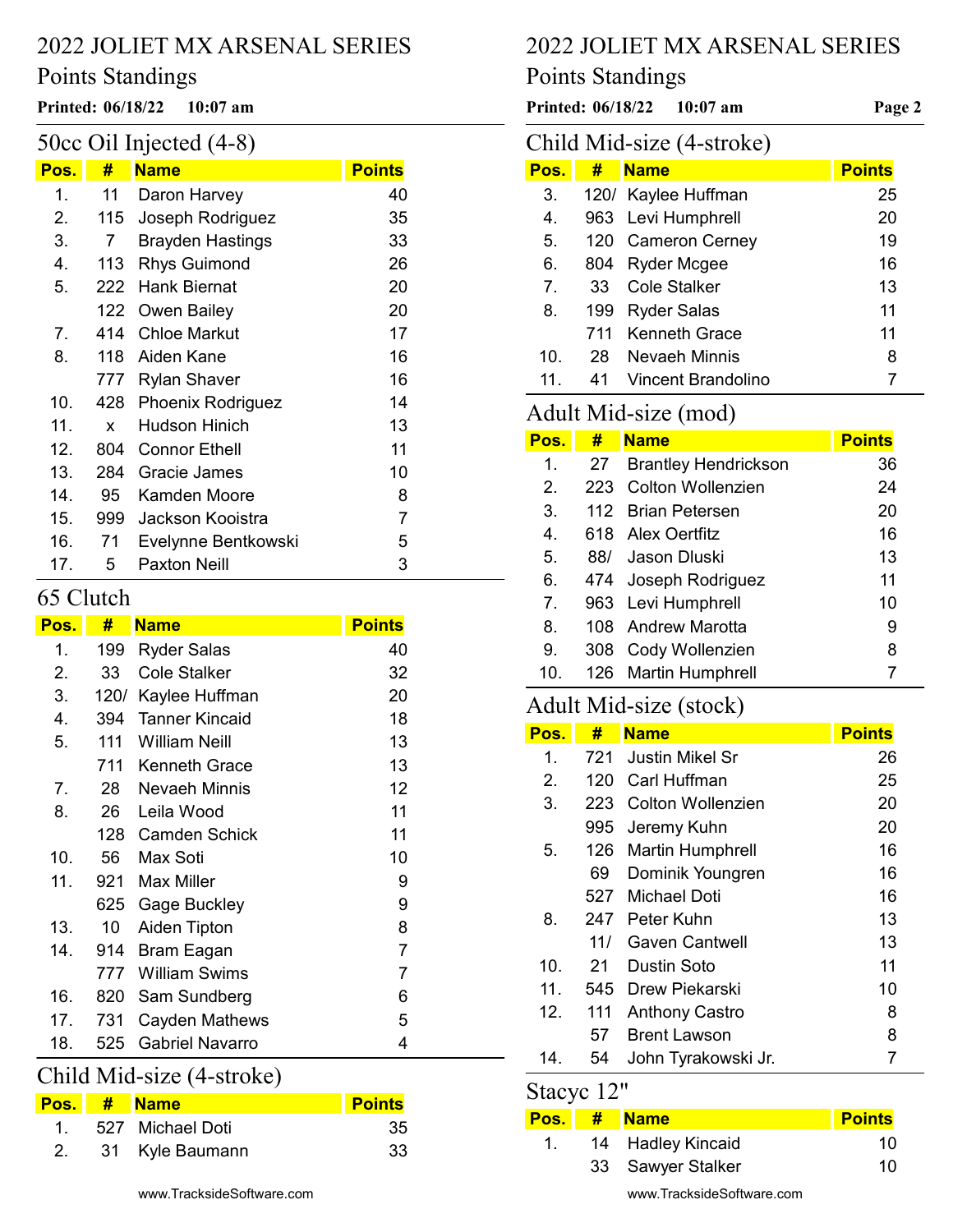#### Points Standings

## 50cc Oil Injected (4-8)

| Pos. | #   | <b>Name</b>             | <b>Points</b> |
|------|-----|-------------------------|---------------|
|      |     |                         |               |
| 1.   | 11  | Daron Harvey            | 40            |
| 2.   | 115 | Joseph Rodriguez        | 35            |
| 3.   | 7   | <b>Brayden Hastings</b> | 33            |
| 4.   | 113 | <b>Rhys Guimond</b>     | 26            |
| 5.   | 222 | <b>Hank Biernat</b>     | 20            |
|      |     | 122 Owen Bailey         | 20            |
| 7.   | 414 | <b>Chloe Markut</b>     | 17            |
| 8.   | 118 | Aiden Kane              | 16            |
|      |     | 777 Rylan Shaver        | 16            |
| 10.  |     | 428 Phoenix Rodriguez   | 14            |
| 11.  | x   | <b>Hudson Hinich</b>    | 13            |
| 12.  | 804 | <b>Connor Ethell</b>    | 11            |
| 13.  | 284 | Gracie James            | 10            |
| 14.  | 95  | Kamden Moore            | 8             |
| 15.  | 999 | Jackson Kooistra        | 7             |
| 16.  | 71  | Evelynne Bentkowski     | 5             |
| 17.  | 5   | <b>Paxton Neill</b>     | 3             |

## 65 Clutch

| Pos.           | #    | <u>Name</u>            | <b>Points</b> |
|----------------|------|------------------------|---------------|
| 1.             | 199  | <b>Ryder Salas</b>     | 40            |
| 2.             | 33   | Cole Stalker           | 32            |
| 3.             | 120/ | Kaylee Huffman         | 20            |
| 4.             | 394  | <b>Tanner Kincaid</b>  | 18            |
| 5.             | 111  | William Neill          | 13            |
|                | 711  | <b>Kenneth Grace</b>   | 13            |
| 7 <sub>1</sub> | 28   | Nevaeh Minnis          | 12            |
| 8.             | 26   | Leila Wood             | 11            |
|                | 128  | <b>Camden Schick</b>   | 11            |
| 10.            | 56   | Max Soti               | 10            |
| 11.            | 921  | Max Miller             | 9             |
|                | 625  | <b>Gage Buckley</b>    | 9             |
| 13.            | 10   | Aiden Tipton           | 8             |
| 14.            | 914  | Bram Eagan             | 7             |
|                | 777  | William Swims          | 7             |
| 16.            | 820  | Sam Sundberg           | 6             |
| 17.            | 731  | Cayden Mathews         | 5             |
| 18.            | 525  | <b>Gabriel Navarro</b> | 4             |

# Child Mid-size (4-stroke)

|  | Pos. # Name         | <b>Points</b> |
|--|---------------------|---------------|
|  | 1. 527 Michael Doti | -35           |
|  | 2. 31 Kyle Baumann  | -33           |

# 2022 JOLIET MX ARSENAL SERIES

## Points Standings

Printed: 06/18/22 10:07 am Printed: 06/18/22 10:07 am Page 2

# Child Mid-size (4-stroke)

| Pos. | #   | <b>Name</b>          | <b>Points</b> |
|------|-----|----------------------|---------------|
| 3.   |     | 120/ Kaylee Huffman  | 25            |
| 4.   |     | 963 Levi Humphrell   | 20            |
| 5.   |     | 120 Cameron Cerney   | 19            |
| 6.   | 804 | <b>Ryder Mcgee</b>   | 16            |
| 7.   | 33  | <b>Cole Stalker</b>  | 13            |
| 8.   | 199 | <b>Ryder Salas</b>   | 11            |
|      | 711 | <b>Kenneth Grace</b> | 11            |
| 10.  | 28  | <b>Nevaeh Minnis</b> | 8             |
| 11   | 41  | Vincent Brandolino   |               |

# Adult Mid-size (mod)

| Pos.           | #    | <b>Name</b>                 | <b>Points</b> |
|----------------|------|-----------------------------|---------------|
| $\mathbf 1$    | 27   | <b>Brantley Hendrickson</b> | 36            |
| 2.             | 223. | <b>Colton Wollenzien</b>    | 24            |
| 3.             |      | 112 Brian Petersen          | 20            |
| $\mathbf{4}$ . |      | 618 Alex Oertfitz           | 16            |
| 5.             | 88/  | Jason Dluski                | 13            |
| 6.             |      | 474 Joseph Rodriguez        | 11            |
| 7 <sub>1</sub> |      | 963 Levi Humphrell          | 10            |
| 8.             |      | 108 Andrew Marotta          | 9             |
| 9.             | 308  | Cody Wollenzien             | 8             |
| 10.            |      | 126 Martin Humphrell        |               |

# Adult Mid-size (stock)

| Pos. | #   | <b>Name</b>             | <b>Points</b> |
|------|-----|-------------------------|---------------|
| 1.   | 721 | Justin Mikel Sr         | 26            |
| 2.   | 120 | Carl Huffman            | 25            |
| 3.   | 223 | Colton Wollenzien       | 20            |
|      | 995 | Jeremy Kuhn             | 20            |
| 5.   | 126 | <b>Martin Humphrell</b> | 16            |
|      | 69  | Dominik Youngren        | 16            |
|      | 527 | Michael Doti            | 16            |
| 8.   | 247 | Peter Kuhn              | 13            |
|      | 11/ | Gaven Cantwell          | 13            |
| 10.  | 21  | Dustin Soto             | 11            |
| 11.  | 545 | Drew Piekarski          | 10            |
| 12.  | 111 | <b>Anthony Castro</b>   | 8             |
|      | 57  | <b>Brent Lawson</b>     | 8             |
| 14.  | 54  | John Tyrakowski Jr.     |               |

#### Stacyc 12"

| Pos. I | <b># Name</b>     | <b>Points</b> |
|--------|-------------------|---------------|
|        | 14 Hadley Kincaid | 10            |
|        | 33 Sawyer Stalker | 10            |

www.TracksideSoftware.com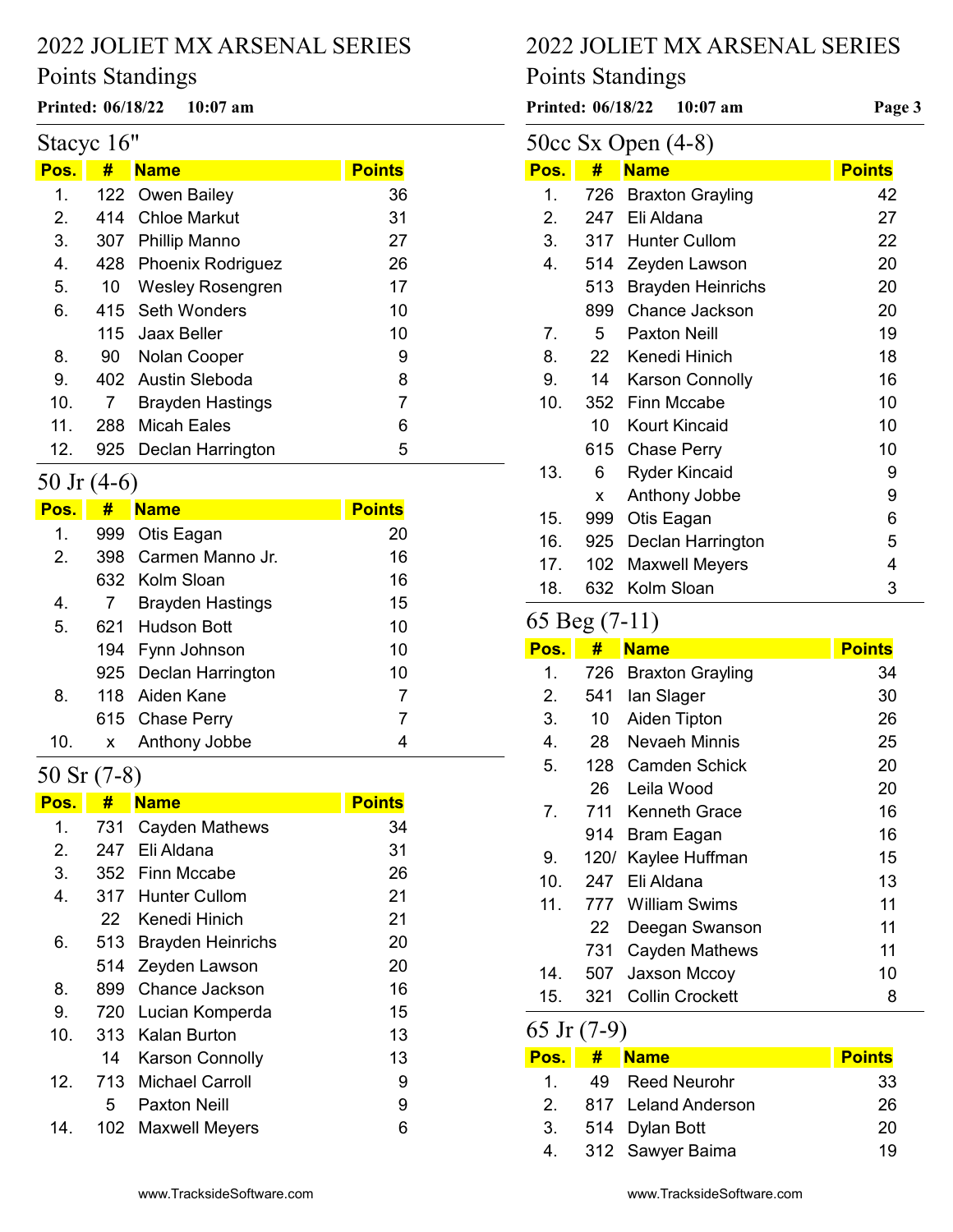# Points Standings

# Stacyc 16"

| <u>Pos.</u> | #   | <b>Name</b>             | <b>Points</b> |
|-------------|-----|-------------------------|---------------|
| 1.          |     | 122 Owen Bailey         | 36            |
| $2_{1}$     | 414 | Chloe Markut            | 31            |
| 3.          |     | 307 Phillip Manno       | 27            |
| 4.          |     | 428 Phoenix Rodriguez   | 26            |
| 5.          | 10  | <b>Wesley Rosengren</b> | 17            |
| 6.          |     | 415 Seth Wonders        | 10            |
|             |     | 115 Jaax Beller         | 10            |
| 8.          | 90  | Nolan Cooper            | 9             |
| 9.          |     | 402 Austin Sleboda      | 8             |
| 10.         | 7   | <b>Brayden Hastings</b> | 7             |
| 11.         | 288 | <b>Micah Eales</b>      | 6             |
| 12.         | 925 | Declan Harrington       | 5             |

#### 50 Jr (4-6)

| Pos. | #            | <b>Name</b>             | <b>Points</b> |
|------|--------------|-------------------------|---------------|
| 1.   | 999          | Otis Eagan              | 20            |
| 2.   |              | 398 Carmen Manno Jr.    | 16            |
|      |              | 632 Kolm Sloan          | 16            |
| 4.   | $\prime$     | <b>Brayden Hastings</b> | 15            |
| 5.   |              | 621 Hudson Bott         | 10            |
|      |              | 194 Fynn Johnson        | 10            |
|      |              | 925 Declan Harrington   | 10            |
| 8.   |              | 118 Aiden Kane          | 7             |
|      |              | 615 Chase Perry         | 7             |
| 10.  | $\mathsf{x}$ | Anthony Jobbe           | 4             |

# 50 Sr (7-8)

| #    | <b>Name</b>              | <b>Points</b>                                                  |
|------|--------------------------|----------------------------------------------------------------|
| 731  | Cayden Mathews           | 34                                                             |
| 247  | Eli Aldana               | 31                                                             |
| 352  |                          | 26                                                             |
|      |                          | 21                                                             |
| 22   | Kenedi Hinich            | 21                                                             |
|      | <b>Brayden Heinrichs</b> | 20                                                             |
| 514  | Zeyden Lawson            | 20                                                             |
| 899  | Chance Jackson           | 16                                                             |
| 720  | Lucian Komperda          | 15                                                             |
| 313. | Kalan Burton             | 13                                                             |
| 14   | <b>Karson Connolly</b>   | 13                                                             |
|      |                          | 9                                                              |
| 5    | Paxton Neill             | 9                                                              |
| 102  | <b>Maxwell Meyers</b>    | 6                                                              |
|      |                          | Finn Mccabe<br>317 Hunter Cullom<br>513<br>713 Michael Carroll |

## 2022 JOLIET MX ARSENAL SERIES

# Points Standings

Printed:  $06/18/22$  10:07 am <br>Printed:  $06/18/22$  10:07 am <br>Page 3  $50cc$  Sy Open  $(4-8)$ 

| $3000$ DA Open (7-0) |     |                          |               |  |
|----------------------|-----|--------------------------|---------------|--|
| Pos.                 | #   | <b>Name</b>              | <b>Points</b> |  |
| 1.                   | 726 | <b>Braxton Grayling</b>  | 42            |  |
| 2.                   | 247 | Eli Aldana               | 27            |  |
| 3.                   |     | 317 Hunter Cullom        | 22            |  |
| 4.                   | 514 | Zeyden Lawson            | 20            |  |
|                      | 513 | <b>Brayden Heinrichs</b> | 20            |  |
|                      | 899 | <b>Chance Jackson</b>    | 20            |  |
| 7.                   | 5   | <b>Paxton Neill</b>      | 19            |  |
| 8.                   | 22  | Kenedi Hinich            | 18            |  |
| 9.                   | 14  | <b>Karson Connolly</b>   | 16            |  |
| 10.                  | 352 | <b>Finn Mccabe</b>       | 10            |  |
|                      | 10  | <b>Kourt Kincaid</b>     | 10            |  |
|                      | 615 | <b>Chase Perry</b>       | 10            |  |
| 13.                  | 6   | <b>Ryder Kincaid</b>     | 9             |  |
|                      | x   | Anthony Jobbe            | 9             |  |
| 15.                  | 999 | Otis Eagan               | 6             |  |
| 16.                  | 925 | Declan Harrington        | 5             |  |
| 17.                  | 102 | <b>Maxwell Meyers</b>    | 4             |  |
| 18.                  | 632 | Kolm Sloan               | 3             |  |

# 65 Beg (7-11)

| Pos.           | #    | <b>Name</b>             | <b>Points</b> |
|----------------|------|-------------------------|---------------|
| 1.             | 726  | <b>Braxton Grayling</b> | 34            |
| 2.             | 541  | lan Slager              | 30            |
| 3.             | 10   | Aiden Tipton            | 26            |
| 4.             | 28.  | Nevaeh Minnis           | 25            |
| 5.             | 128  | Camden Schick           | 20            |
|                | 26   | Leila Wood              | 20            |
| 7 <sub>1</sub> |      | 711 Kenneth Grace       | 16            |
|                | 914  | <b>Bram Eagan</b>       | 16            |
| 9.             | 120/ | Kaylee Huffman          | 15            |
| 10.            | 247  | Eli Aldana              | 13            |
| 11.            | 777  | <b>William Swims</b>    | 11            |
|                | 22   | Deegan Swanson          | 11            |
|                | 731  | <b>Cayden Mathews</b>   | 11            |
| 14.            | 507  | Jaxson Mccoy            | 10            |
| 15.            | 321  | <b>Collin Crockett</b>  | 8             |

# 65 Jr (7-9)

| Pos. T    | # Name              | <b>Points</b> |
|-----------|---------------------|---------------|
| $1 \quad$ | 49 Reed Neurohr     | 33            |
| 2         | 817 Leland Anderson | 26            |
|           | 3. 514 Dylan Bott   | 20            |
|           | 4. 312 Sawyer Baima | 19            |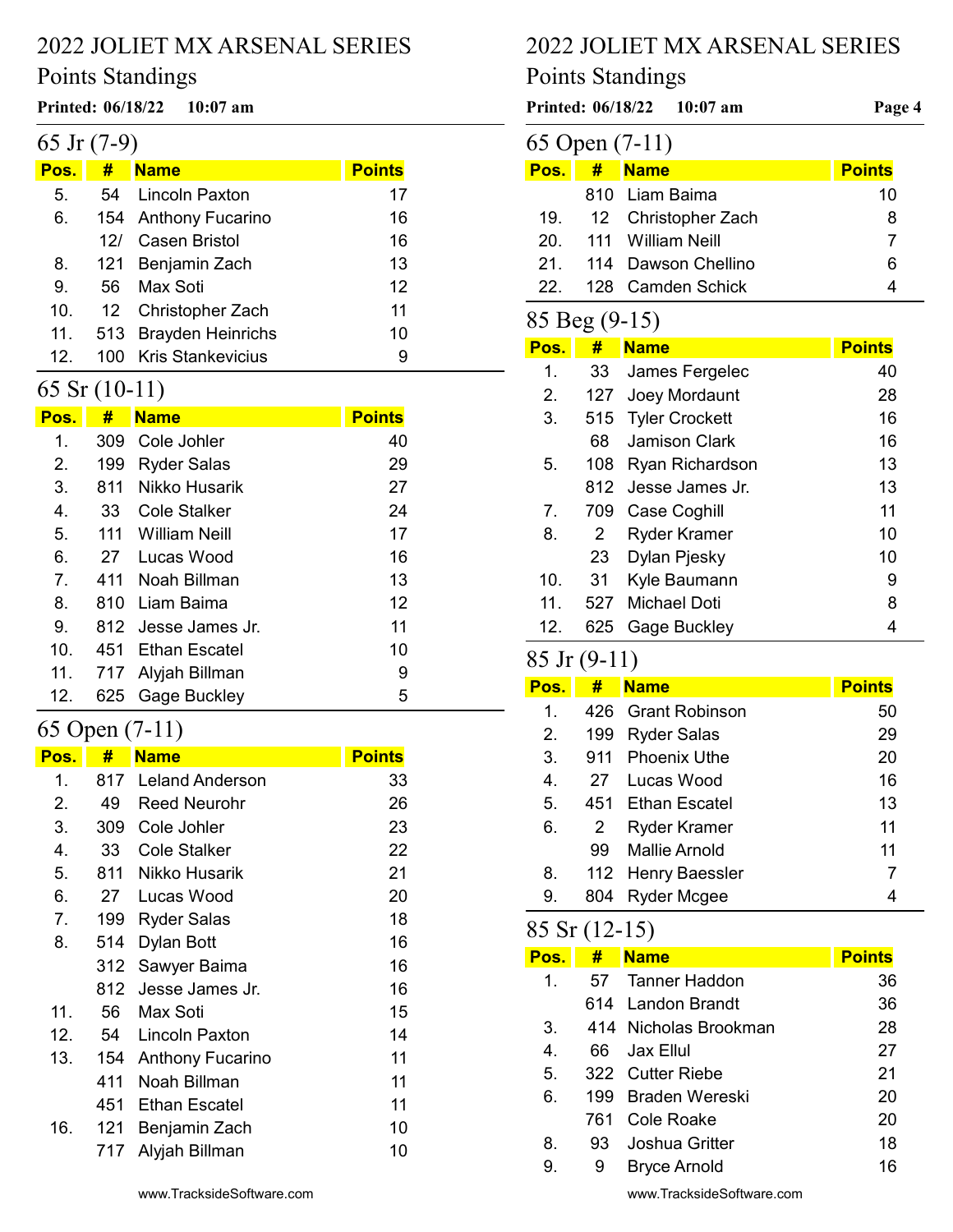# Points Standings

#### Printed: 06/18/22 10:07 am Page 4 of 8

| 65 Jr $(7-9)$ |  |  |  |  |
|---------------|--|--|--|--|
|---------------|--|--|--|--|

| Pos. | #   | <b>Name</b>              | <b>Points</b> |
|------|-----|--------------------------|---------------|
| 5.   | 54  | <b>Lincoln Paxton</b>    | 17            |
| 6.   |     | 154 Anthony Fucarino     | 16            |
|      | 121 | Casen Bristol            | 16            |
| 8.   |     | 121 Benjamin Zach        | 13            |
| 9.   | 56. | Max Soti                 | 12            |
| 10.  |     | 12 Christopher Zach      | 11            |
| 11.  |     | 513 Brayden Heinrichs    | 10            |
| 12.  | 100 | <b>Kris Stankevicius</b> | 9             |

# 65 Sr (10-11)

| Pos.           | #    | <b>Name</b>          | <b>Points</b> |
|----------------|------|----------------------|---------------|
| 1.             | 309  | Cole Johler          | 40            |
| 2.             | 199  | <b>Ryder Salas</b>   | 29            |
| 3.             | 811  | Nikko Husarik        | 27            |
| 4.             | 33   | Cole Stalker         | 24            |
| 5.             | 111  | <b>William Neill</b> | 17            |
| 6.             | 27   | Lucas Wood           | 16            |
| $\overline{7}$ | 411  | Noah Billman         | 13            |
| 8.             | 810. | Liam Baima           | 12            |
| 9.             |      | 812 Jesse James Jr.  | 11            |
| 10.            | 451  | Ethan Escatel        | 10            |
| 11.            | 717  | Alyjah Billman       | 9             |
| 12.            | 625  | Gage Buckley         | 5             |

# 65 Open (7-11)

| <u>Pos.</u>    | #   | <b>Name</b>             | <b>Points</b> |
|----------------|-----|-------------------------|---------------|
| 1.             | 817 | <b>Leland Anderson</b>  | 33            |
| 2.             | 49  | <b>Reed Neurohr</b>     | 26            |
| 3.             | 309 | Cole Johler             | 23            |
| 4.             | 33  | Cole Stalker            | 22            |
| 5.             | 811 | Nikko Husarik           | 21            |
| 6.             | 27  | Lucas Wood              | 20            |
| 7 <sub>1</sub> | 199 | <b>Ryder Salas</b>      | 18            |
| 8.             | 514 | Dylan Bott              | 16            |
|                | 312 | Sawyer Baima            | 16            |
|                | 812 | Jesse James Jr.         | 16            |
| 11.            | 56  | Max Soti                | 15            |
| 12.            | 54  | Lincoln Paxton          | 14            |
| 13.            | 154 | <b>Anthony Fucarino</b> | 11            |
|                | 411 | Noah Billman            | 11            |
|                | 451 | Ethan Escatel           | 11            |
| 16.            | 121 | Benjamin Zach           | 10            |
|                | 717 | Alyjah Billman          | 10            |
|                |     |                         |               |

# 2022 JOLIET MX ARSENAL SERIES

# Points Standings

|                |       | Printed: 06/18/22 10:07 am | Page 4        |  |  |
|----------------|-------|----------------------------|---------------|--|--|
| 65 Open (7-11) |       |                            |               |  |  |
| Pos.           | #     | <b>Name</b>                | <b>Points</b> |  |  |
|                | 810 - | Liam Baima                 | 10            |  |  |
| 19.            |       | 12 Christopher Zach        | 8             |  |  |
| 20.            |       | 111 William Neill          | 7             |  |  |
| 21.            |       | 114 Dawson Chellino        | 6             |  |  |
| 22.            | 128 - | Camden Schick              | 4             |  |  |
|                |       |                            |               |  |  |
| 85 Beg (9-15)  |       |                            |               |  |  |
| Pos.           | #     | <b>Name</b>                | <b>Points</b> |  |  |
| 1.             | 33    | James Fergelec             | 40            |  |  |
| 2.             | 127   | Joey Mordaunt              | 28            |  |  |
| 3.             |       | 515 Tyler Crockett         | 16            |  |  |
|                | 68    | Jamison Clark              | 16            |  |  |
| 5.             | 108   | Ryan Richardson            | 13            |  |  |

| Pos.           | #    | <b>Name</b>           | <b>Points</b> |
|----------------|------|-----------------------|---------------|
| 1.             | 33   | James Fergelec        | 40            |
| 2.             | 127  | Joey Mordaunt         | 28            |
| 3.             | 515  | <b>Tyler Crockett</b> | 16            |
|                | 68   | Jamison Clark         | 16            |
| 5.             | 108  | Ryan Richardson       | 13            |
|                | 812. | Jesse James Jr.       | 13            |
| 7 <sub>1</sub> | 709  | Case Coghill          | 11            |
| 8.             | 2    | Ryder Kramer          | 10            |
|                | 23   | Dylan Pjesky          | 10            |
| 10.            | 31   | Kyle Baumann          | 9             |
| 11.            | 527  | <b>Michael Doti</b>   | 8             |
| 12.            | 625  | Gage Buckley          | 4             |

## 85 Jr (9-11)

| Pos.           | #   | <b>Name</b>         | <b>Points</b> |
|----------------|-----|---------------------|---------------|
| 1.             |     | 426 Grant Robinson  | 50            |
| 2.             | 199 | <b>Ryder Salas</b>  | 29            |
| 3.             | 911 | <b>Phoenix Uthe</b> | 20            |
| $\mathbf{4}$ . | 27  | Lucas Wood          | 16            |
| 5.             | 451 | Ethan Escatel       | 13            |
| 6.             | 2   | Ryder Kramer        | 11            |
|                | 99  | Mallie Arnold       | 11            |
| 8.             |     | 112 Henry Baessler  | 7             |
| 9.             | 804 | Ryder Mcgee         | 4             |

# 85 Sr (12-15)

| Pos.        | #   | <b>Name</b>           | <b>Points</b> |
|-------------|-----|-----------------------|---------------|
| 1.          | 57  | Tanner Haddon         | 36            |
|             |     | 614 Landon Brandt     | 36            |
| 3.          |     | 414 Nicholas Brookman | 28            |
| $4_{\cdot}$ |     | 66 Jax Ellul          | 27            |
| 5.          |     | 322 Cutter Riebe      | 21            |
| 6.          |     | 199 Braden Wereski    | 20            |
|             | 761 | Cole Roake            | 20            |
| 8.          | 93  | Joshua Gritter        | 18            |
| 9.          | 9   | <b>Bryce Arnold</b>   | 16            |

www.TracksideSoftware.com

www.TracksideSoftware.com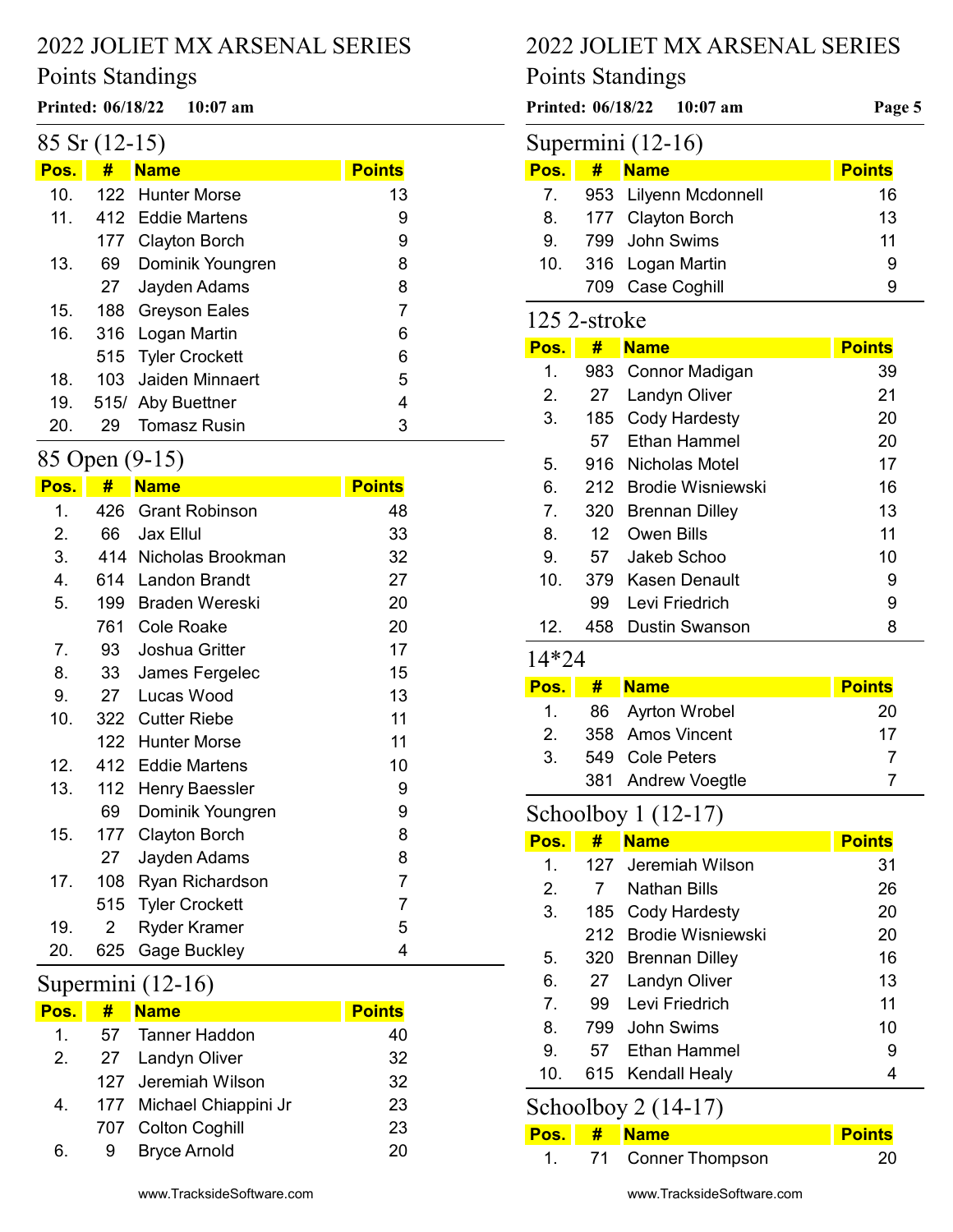## Points Standings

#### Printed: 06/18/22 10:07 am P

|  |  | $85$ Sr $(12-15)$ |  |
|--|--|-------------------|--|
|--|--|-------------------|--|

| Pos.            | #  | <b>Name</b>         | <b>Points</b> |
|-----------------|----|---------------------|---------------|
| 10.             |    | 122 Hunter Morse    | 13            |
| 11 <sub>1</sub> |    | 412 Eddie Martens   | 9             |
|                 |    | 177 Clayton Borch   | 9             |
| 13.             | 69 | Dominik Youngren    | 8             |
|                 | 27 | Jayden Adams        | 8             |
| 15.             |    | 188 Greyson Eales   | 7             |
| 16.             |    | 316 Logan Martin    | 6             |
|                 |    | 515 Tyler Crockett  | 6             |
| 18.             |    | 103 Jaiden Minnaert | 5             |
| 19.             |    | 515/ Aby Buettner   | 4             |
| 20.             | 29 | <b>Tomasz Rusin</b> | 3             |

#### 85 Open (9-15)

| Pos. | #              | <b>Name</b>           | <b>Points</b>  |
|------|----------------|-----------------------|----------------|
| 1.   | 426            | <b>Grant Robinson</b> | 48             |
| 2.   | 66             | <b>Jax Ellul</b>      | 33             |
| 3.   |                | 414 Nicholas Brookman | 32             |
| 4.   | 614            | <b>Landon Brandt</b>  | 27             |
| 5.   | 199            | <b>Braden Wereski</b> | 20             |
|      | 761            | <b>Cole Roake</b>     | 20             |
| 7.   | 93             | Joshua Gritter        | 17             |
| 8.   | 33             | James Fergelec        | 15             |
| 9.   | 27             | Lucas Wood            | 13             |
| 10.  | 322            | <b>Cutter Riebe</b>   | 11             |
|      | 122            | <b>Hunter Morse</b>   | 11             |
| 12.  | 412            | <b>Eddie Martens</b>  | 10             |
| 13.  | 112            | <b>Henry Baessler</b> | 9              |
|      | 69             | Dominik Youngren      | 9              |
| 15.  | 177            | <b>Clayton Borch</b>  | 8              |
|      | 27             | Jayden Adams          | 8              |
| 17.  | 108            | Ryan Richardson       | $\overline{7}$ |
|      | 515            | <b>Tyler Crockett</b> | $\overline{7}$ |
| 19.  | $\overline{2}$ | Ryder Kramer          | 5              |
| 20.  | 625            | Gage Buckley          | 4              |

#### Supermini (12-16)

| Pos.    | # | <b>Name</b>              | <b>Points</b> |
|---------|---|--------------------------|---------------|
| $1_{-}$ |   | 57 Tanner Haddon         | 40            |
| 2.      |   | 27 Landyn Oliver         | 32            |
|         |   | 127 Jeremiah Wilson      | 32            |
| 4.      |   | 177 Michael Chiappini Jr | 23            |
|         |   | 707 Colton Coghill       | 23            |
| 6.      | 9 | <b>Bryce Arnold</b>      | 20            |
|         |   |                          |               |

# 2022 JOLIET MX ARSENAL SERIES

# Points Standings

|              |                  | Printed: 06/18/22<br>$10:07$ am | Page 5        |
|--------------|------------------|---------------------------------|---------------|
|              |                  | Supermini (12-16)               |               |
| Pos.         | #                | <b>Name</b>                     | <b>Points</b> |
| 7.           | 953              | Lilyenn Mcdonnell               | 16            |
| 8.           | 177              | <b>Clayton Borch</b>            | 13            |
| 9.           | 799              | John Swims                      | 11            |
| 10.          | 316              | Logan Martin                    | 9             |
|              | 709              | Case Coghill                    | 9             |
| 125 2-stroke |                  |                                 |               |
| Pos.         | #                | <b>Name</b>                     | <b>Points</b> |
| 1.           | 983              | Connor Madigan                  | 39            |
| 2.           | 27               | Landyn Oliver                   | 21            |
| 3.           | 185              | <b>Cody Hardesty</b>            | 20            |
|              | 57               | <b>Fthan Hammel</b>             | 20            |
| 5.           | 916              | Nicholas Motel                  | 17            |
| 6.           | 212              | Brodie Wisniewski               | 16            |
| 7.           | 320              | <b>Brennan Dilley</b>           | 13            |
| 8.           | 12 <sup>12</sup> | <b>Owen Bills</b>               | 11            |
| 9.           | 57               | Jakeb Schoo                     | 10            |
| 10.          | 379              | Kasen Denault                   | 9             |
|              | 99               | Levi Friedrich                  | 9             |

#### 14\*24

| Pos. I | <b>#</b> | <b>Name</b>        | <b>Points</b> |
|--------|----------|--------------------|---------------|
| 1.     |          | 86 Ayrton Wrobel   | 20            |
| 2      |          | 358 Amos Vincent   | 17            |
| 3.     |          | 549 Cole Peters    |               |
|        |          | 381 Andrew Voegtle |               |

12. 458 Dustin Swanson 8

# Schoolboy 1 (12-17)

| Pos.           | #   | <b>Name</b>           | <b>Points</b> |
|----------------|-----|-----------------------|---------------|
| 1.             |     | 127 Jeremiah Wilson   | 31            |
| 2 <sub>1</sub> | 7   | Nathan Bills          | 26            |
| 3.             |     | 185 Cody Hardesty     | 20            |
|                |     | 212 Brodie Wisniewski | 20            |
| 5.             | 320 | <b>Brennan Dilley</b> | 16            |
| 6.             | 27  | Landyn Oliver         | 13            |
| $7^{\circ}$    | 99  | Levi Friedrich        | 11            |
| 8.             | 799 | John Swims            | 10            |
| 9.             | 57  | Ethan Hammel          | 9             |
| 10.            |     | 615 Kendall Healy     |               |

# Schoolboy 2 (14-17)

|  | Pos. # Name           | <b>Points</b> |
|--|-----------------------|---------------|
|  | 1. 71 Conner Thompson | -20           |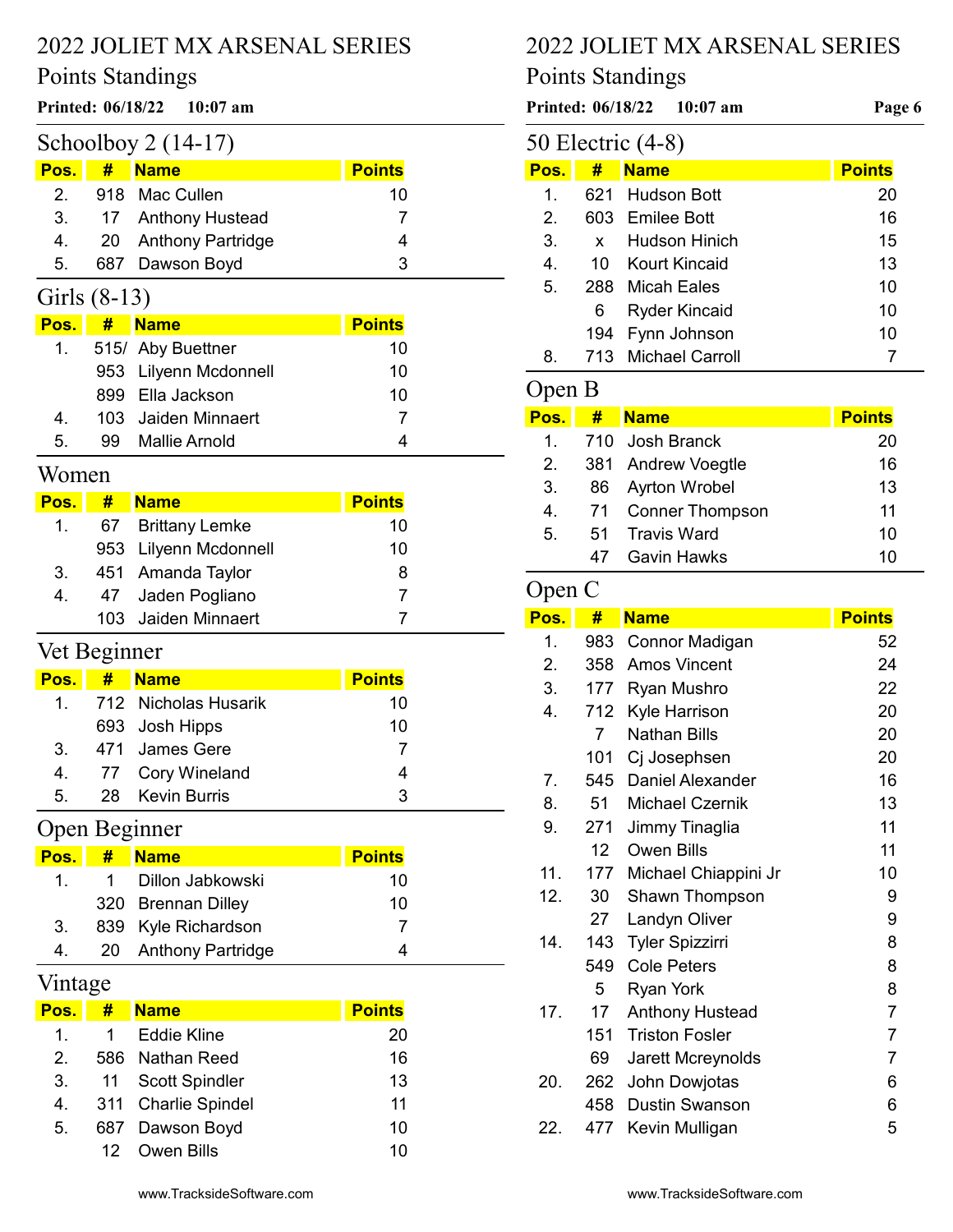## Points Standings

## Printed:  $06/18/22$  10:07 am Printed:  $06/18/22$  10:07 am Page 6

| Schoolboy $2(14-17)$ |  |                       |               |  |  |
|----------------------|--|-----------------------|---------------|--|--|
| $Pos.$ #             |  | <b>Name</b>           | <b>Points</b> |  |  |
|                      |  | 2. 918 Mac Cullen     | 10            |  |  |
|                      |  | 3. 17 Anthony Hustead |               |  |  |
| 4.                   |  | 20 Anthony Partridge  |               |  |  |
| 5.                   |  | 687 Dawson Boyd       | 3             |  |  |

# Girls (8-13)

| Pos. | # Name                | <b>Points</b> |
|------|-----------------------|---------------|
| 1.   | 515/ Aby Buettner     | 10            |
|      | 953 Lilyenn Mcdonnell | 10            |
|      | 899 Ella Jackson      | 10            |
| 4    | 103 Jaiden Minnaert   |               |
| 5.   | 99 Mallie Arnold      |               |

# Women

| Pos. | # | <b>Name</b>           | <b>Points</b> |
|------|---|-----------------------|---------------|
| 1.   |   | 67 Brittany Lemke     | 10            |
|      |   | 953 Lilyenn Mcdonnell | 10            |
| 3.   |   | 451 Amanda Taylor     | 8             |
| 4.   |   | 47 Jaden Pogliano     |               |
|      |   | 103 Jaiden Minnaert   |               |

# Vet Beginner

| Pos. | # | <b>Name</b>             | <b>Points</b> |
|------|---|-------------------------|---------------|
|      |   | 1. 712 Nicholas Husarik | 10            |
|      |   | 693 Josh Hipps          | 10            |
| 3    |   | 471 James Gere          |               |
| 4.   |   | 77 Cory Wineland        |               |
| 5    |   | 28 Kevin Burris         | 3             |

# Open Beginner

| Pos.         | # | <b>Name</b>          | <b>Points</b> |
|--------------|---|----------------------|---------------|
| $\mathbf{1}$ |   | 1 Dillon Jabkowski   | 10            |
|              |   | 320 Brennan Dilley   | 10            |
| 3.           |   | 839 Kyle Richardson  |               |
| 4.           |   | 20 Anthony Partridge |               |

## Vintage

| Pos.    | #  | <b>Name</b>         | <b>Points</b> |
|---------|----|---------------------|---------------|
| $1_{-}$ | 1. | Eddie Kline         | 20            |
| 2       |    | 586 Nathan Reed     | 16            |
| 3.      |    | 11 Scott Spindler   | 13            |
| 4.      |    | 311 Charlie Spindel | 11            |
| 5.      |    | 687 Dawson Boyd     | 10            |
|         |    | 12 Owen Bills       | 10            |

# 2022 JOLIET MX ARSENAL SERIES

# Points Standings

|                  |                 | 50 Electric (4-8)      |                |
|------------------|-----------------|------------------------|----------------|
| Pos.             | #               | <b>Name</b>            | <b>Points</b>  |
| 1.               | 621             | <b>Hudson Bott</b>     | 20             |
| 2.               | 603             | <b>Emilee Bott</b>     | 16             |
| 3.               | x               | <b>Hudson Hinich</b>   | 15             |
| $\overline{4}$ . | 10              | Kourt Kincaid          | 13             |
| 5.               | 288             | <b>Micah Eales</b>     | 10             |
|                  | 6               | <b>Ryder Kincaid</b>   | 10             |
|                  | 194             | Fynn Johnson           | 10             |
| 8.               | 713             | <b>Michael Carroll</b> | 7              |
| Open B           |                 |                        |                |
| Pos.             | #               | <b>Name</b>            | <b>Points</b>  |
| 1.               | 710             | <b>Josh Branck</b>     | 20             |
| 2.               | 381             | <b>Andrew Voegtle</b>  | 16             |
| 3.               | 86              | <b>Ayrton Wrobel</b>   | 13             |
| 4.               | 71              | <b>Conner Thompson</b> | 11             |
| 5.               | 51              | <b>Travis Ward</b>     | 10             |
|                  | 47              | <b>Gavin Hawks</b>     | 10             |
| Open C           |                 |                        |                |
| Pos.             | #               | <b>Name</b>            | <b>Points</b>  |
| 1.               | 983             | Connor Madigan         | 52             |
| 2.               | 358             | <b>Amos Vincent</b>    | 24             |
| 3.               | 177             | Ryan Mushro            | 22             |
| 4.               | 712             | Kyle Harrison          | 20             |
|                  | 7               | <b>Nathan Bills</b>    | 20             |
|                  | 101             | Cj Josephsen           | 20             |
| 7.               | 545             | Daniel Alexander       | 16             |
| 8.               | 51              | Michael Czernik        | 13             |
| 9.               | 271             | Jimmy Tinaglia         | 11             |
|                  | 12 <sub>2</sub> | <b>Owen Bills</b>      | 11             |
| 11.              | 177             | Michael Chiappini Jr   | 10             |
| 12.              | 30              | Shawn Thompson         | 9              |
|                  | 27              | Landyn Oliver          | 9              |
| 14.              | 143             | <b>Tyler Spizzirri</b> | 8              |
|                  | 549             | <b>Cole Peters</b>     | 8              |
|                  | 5               | <b>Ryan York</b>       | 8              |
| 17.              | 17              | <b>Anthony Hustead</b> | $\overline{7}$ |
|                  | 151             | <b>Triston Fosler</b>  | $\overline{7}$ |
|                  | 69              | Jarett Mcreynolds      | $\overline{7}$ |
| 20.              | 262             | John Dowjotas          | 6              |
|                  | 458             | <b>Dustin Swanson</b>  | 6              |
| 22.              | 477             | Kevin Mulligan         | 5              |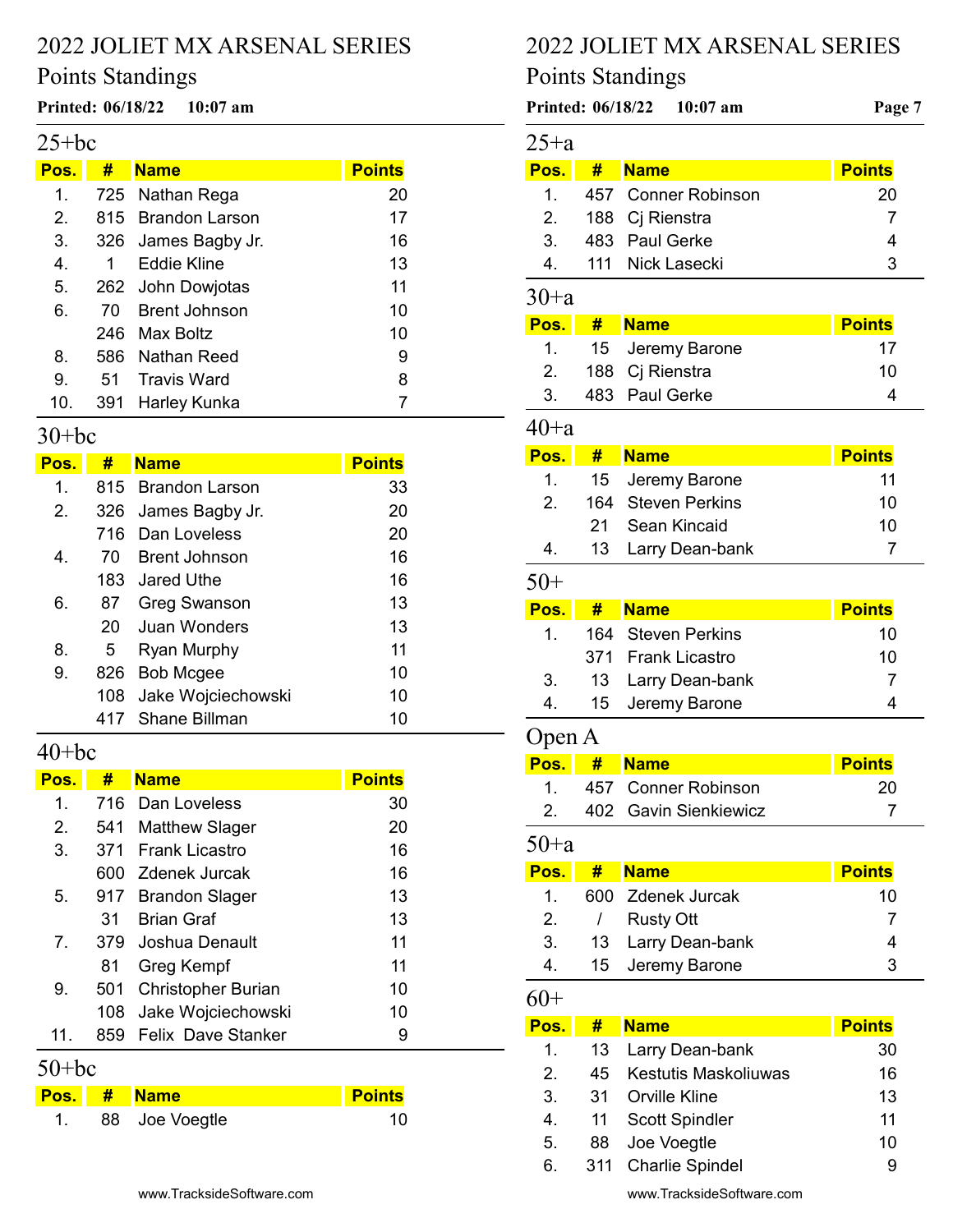# Points Standings

#### Printed: 06/18/22 10:07 am Page 7 of 8

## $25 + bc$

| Pos. | #   | <b>Name</b>          | <b>Points</b> |
|------|-----|----------------------|---------------|
| 1.   |     | 725 Nathan Rega      | 20            |
| 2.   |     | 815 Brandon Larson   | 17            |
| 3.   |     | 326 James Bagby Jr.  | 16            |
| 4.   | 1   | Eddie Kline          | 13            |
| 5.   |     | 262 John Dowjotas    | 11            |
| 6.   | 70. | <b>Brent Johnson</b> | 10            |
|      |     | 246 Max Boltz        | 10            |
| 8.   |     | 586 Nathan Reed      | 9             |
| 9.   | 51  | Travis Ward          | 8             |
| 10.  |     | 391 Harley Kunka     |               |

#### 30+bc

| Pos. | #              | <b>Name</b>         | <b>Points</b> |
|------|----------------|---------------------|---------------|
| 1.   |                | 815 Brandon Larson  | 33            |
| 2.   |                | 326 James Bagby Jr. | 20            |
|      | 716            | Dan Loveless        | 20            |
| 4.   | 70             | Brent Johnson       | 16            |
|      |                | 183 Jared Uthe      | 16            |
| 6.   | 87             | Greg Swanson        | 13            |
|      | 20             | Juan Wonders        | 13            |
| 8.   | 5 <sup>1</sup> | Ryan Murphy         | 11            |
| 9.   | 826            | <b>Bob Mcgee</b>    | 10            |
|      | 108            | Jake Wojciechowski  | 10            |
|      | 417            | Shane Billman       | 10            |

# $40+bc$

| Pos.           | #    | <b>Name</b>               | <b>Points</b> |
|----------------|------|---------------------------|---------------|
| 1.             |      | 716 Dan Loveless          | 30            |
| 2.             |      | 541 Matthew Slager        | 20            |
| 3.             | 371  | Frank Licastro            | 16            |
|                |      | 600 Zdenek Jurcak         | 16            |
| 5.             | 917  | <b>Brandon Slager</b>     | 13            |
|                | 31   | <b>Brian Graf</b>         | 13            |
| $\overline{7}$ |      | 379 Joshua Denault        | 11            |
|                | 81   | Greg Kempf                | 11            |
| 9.             | 501  | <b>Christopher Burian</b> | 10            |
|                | 108  | Jake Wojciechowski        | 10            |
| 11.            | 859. | <b>Felix Dave Stanker</b> | 9             |

50+bc

|  | Pos. # Name    | <b>Points</b> |
|--|----------------|---------------|
|  | 88 Joe Voegtle | 10            |

# 2022 JOLIET MX ARSENAL SERIES

# Points Standings

| Printed: 06/18/22 |     | $10:07$ am                | Page 7        |
|-------------------|-----|---------------------------|---------------|
| 25+a              |     |                           |               |
| Pos.              | #   | <b>Name</b>               | <b>Points</b> |
| $\mathbf 1$ .     | 457 | <b>Conner Robinson</b>    | 20            |
| 2.                | 188 | Cj Rienstra               | 7             |
| 3.                | 483 | <b>Paul Gerke</b>         | 4             |
| 4.                | 111 | <b>Nick Lasecki</b>       | 3             |
| 30+a              |     |                           |               |
| Pos.              | #   | <b>Name</b>               | <b>Points</b> |
| $\mathbf 1$ .     | 15  | Jeremy Barone             | 17            |
| 2.                | 188 | Cj Rienstra               | 10            |
| 3.                | 483 | <b>Paul Gerke</b>         | 4             |
| 40+a              |     |                           |               |
| Pos.              | #   | <b>Name</b>               | <b>Points</b> |
| 1.                | 15  | Jeremy Barone             | 11            |
| 2.                | 164 | <b>Steven Perkins</b>     | 10            |
|                   | 21  | Sean Kincaid              | 10            |
| 4.                | 13  | Larry Dean-bank           | 7             |
| 50+               |     |                           |               |
| Pos.              | #   | <b>Name</b>               | <b>Points</b> |
| $\overline{1}$ .  | 164 | <b>Steven Perkins</b>     | 10            |
|                   | 371 | <b>Frank Licastro</b>     | 10            |
| 3.                | 13  | Larry Dean-bank           | 7             |
| 4.                | 15  | Jeremy Barone             | 4             |
| Open A            |     |                           |               |
| Pos.              | #   | <b>Name</b>               | <b>Points</b> |
| 1.                | 457 | <b>Conner Robinson</b>    | 20            |
| 2.                | 402 | <b>Gavin Sienkiewicz</b>  | 7             |
| 50+a              |     |                           |               |
| Pos.              | #   | <b>Name</b>               | <b>Points</b> |
| 1.                | 600 | <b>Zdenek Jurcak</b>      | 10            |
| 2.                | I   | <b>Rusty Ott</b>          | 7             |
| 3.                | 13  | Larry Dean-bank           | 4             |
| 4.                | 15  | Jeremy Barone             | 3             |
| 60+               |     |                           |               |
| Pos.              | #   | <b>Name</b>               | <b>Points</b> |
| 1.                | 13  | Larry Dean-bank           | 30            |
| 2.                | 45  | Kestutis Maskoliuwas      | 16            |
| 3.                | 31  | <b>Orville Kline</b>      | 13            |
| 4.                | 11  | <b>Scott Spindler</b>     | 11            |
| 5.                | 88  | Joe Voegtle               | 10            |
| 6.                | 311 | <b>Charlie Spindel</b>    | 9             |
|                   |     | www.TracksideSoftware.com |               |